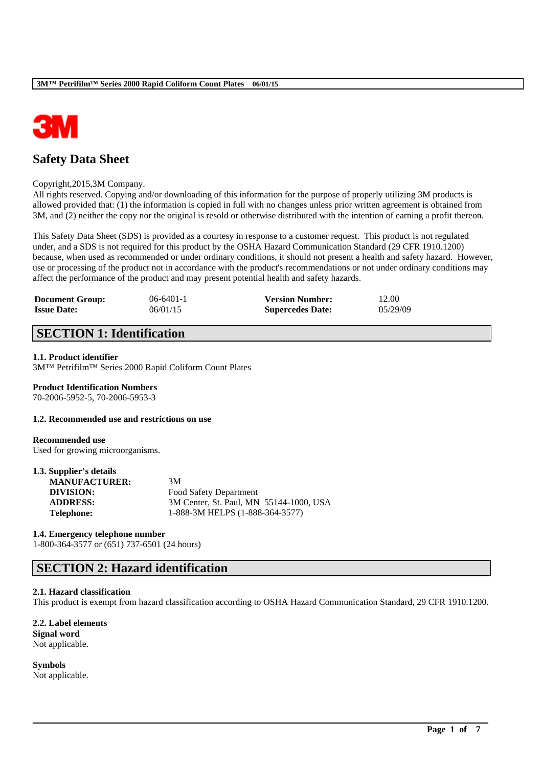

# **Safety Data Sheet**

### Copyright,2015,3M Company.

All rights reserved. Copying and/or downloading of this information for the purpose of properly utilizing 3M products is allowed provided that: (1) the information is copied in full with no changes unless prior written agreement is obtained from 3M, and (2) neither the copy nor the original is resold or otherwise distributed with the intention of earning a profit thereon.

This Safety Data Sheet (SDS) is provided as a courtesy in response to a customer request. This product is not regulated under, and a SDS is not required for this product by the OSHA Hazard Communication Standard (29 CFR 1910.1200) because, when used as recommended or under ordinary conditions, it should not present a health and safety hazard. However, use or processing of the product not in accordance with the product's recommendations or not under ordinary conditions may affect the performance of the product and may present potential health and safety hazards.

| <b>Document Group:</b> | $06-6401-1$ | <b>Version Number:</b>  | 12.00    |
|------------------------|-------------|-------------------------|----------|
| <b>Issue Date:</b>     | 06/01/15    | <b>Supercedes Date:</b> | 05/29/09 |

# **SECTION 1: Identification**

### **1.1. Product identifier**

3M™ Petrifilm™ Series 2000 Rapid Coliform Count Plates

### **Product Identification Numbers**

70-2006-5952-5, 70-2006-5953-3

### **1.2. Recommended use and restrictions on use**

### **Recommended use**

Used for growing microorganisms.

### **1.3. Supplier's details**

| 3M                                      |
|-----------------------------------------|
| Food Safety Department                  |
| 3M Center, St. Paul, MN 55144-1000, USA |
| 1-888-3M HELPS (1-888-364-3577)         |
|                                         |

### **1.4. Emergency telephone number**

1-800-364-3577 or (651) 737-6501 (24 hours)

### **SECTION 2: Hazard identification**

### **2.1. Hazard classification**

This product is exempt from hazard classification according to OSHA Hazard Communication Standard, 29 CFR 1910.1200.

\_\_\_\_\_\_\_\_\_\_\_\_\_\_\_\_\_\_\_\_\_\_\_\_\_\_\_\_\_\_\_\_\_\_\_\_\_\_\_\_\_\_\_\_\_\_\_\_\_\_\_\_\_\_\_\_\_\_\_\_\_\_\_\_\_\_\_\_\_\_\_\_\_\_\_\_\_\_\_\_\_\_\_\_\_\_\_\_\_\_

#### **2.2. Label elements Signal word**

Not applicable.

### **Symbols**

Not applicable.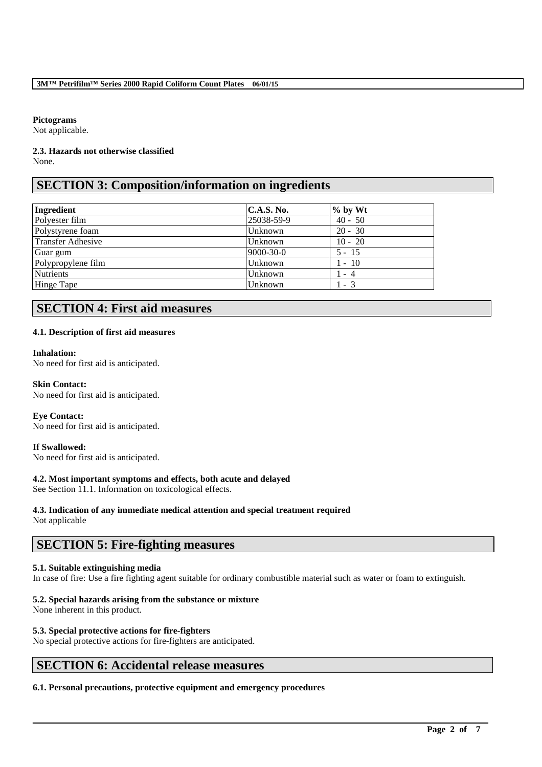### **Pictograms**

Not applicable.

### **2.3. Hazards not otherwise classified** None.

# **SECTION 3: Composition/information on ingredients**

| Ingredient         | <b>C.A.S. No.</b> | $\%$ by Wt |
|--------------------|-------------------|------------|
| Polyester film     | 25038-59-9        | $40 - 50$  |
| Polystyrene foam   | Unknown           | $20 - 30$  |
| Transfer Adhesive  | Unknown           | $10 - 20$  |
| Guar gum           | $9000 - 30 - 0$   | $5 - 15$   |
| Polypropylene film | Unknown           | $1 - 10$   |
| <b>Nutrients</b>   | Unknown           | 1 - 4      |
| Hinge Tape         | Unknown           | $1 - 3$    |

# **SECTION 4: First aid measures**

### **4.1. Description of first aid measures**

### **Inhalation:**

No need for first aid is anticipated.

**Skin Contact:**  No need for first aid is anticipated.

### **Eye Contact:**

No need for first aid is anticipated.

### **If Swallowed:**

No need for first aid is anticipated.

### **4.2. Most important symptoms and effects, both acute and delayed**

See Section 11.1. Information on toxicological effects.

### **4.3. Indication of any immediate medical attention and special treatment required**

Not applicable

### **SECTION 5: Fire-fighting measures**

### **5.1. Suitable extinguishing media**

In case of fire: Use a fire fighting agent suitable for ordinary combustible material such as water or foam to extinguish.

\_\_\_\_\_\_\_\_\_\_\_\_\_\_\_\_\_\_\_\_\_\_\_\_\_\_\_\_\_\_\_\_\_\_\_\_\_\_\_\_\_\_\_\_\_\_\_\_\_\_\_\_\_\_\_\_\_\_\_\_\_\_\_\_\_\_\_\_\_\_\_\_\_\_\_\_\_\_\_\_\_\_\_\_\_\_\_\_\_\_

### **5.2. Special hazards arising from the substance or mixture**

None inherent in this product.

### **5.3. Special protective actions for fire-fighters**

No special protective actions for fire-fighters are anticipated.

# **SECTION 6: Accidental release measures**

### **6.1. Personal precautions, protective equipment and emergency procedures**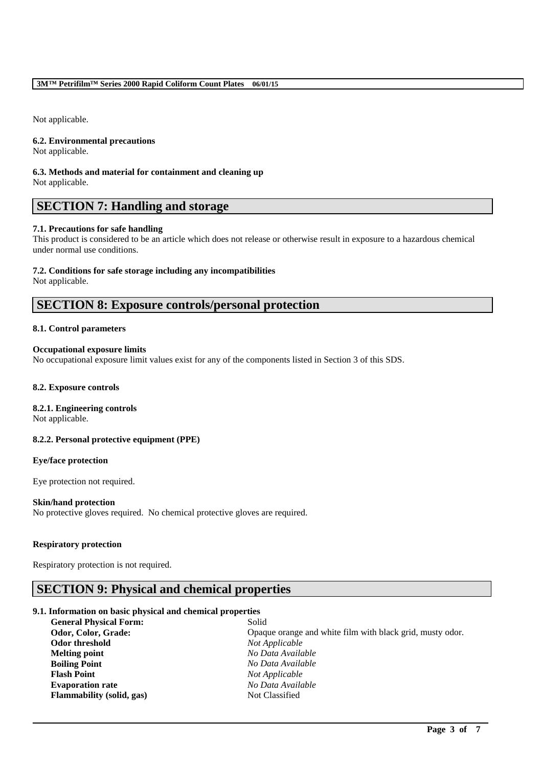Not applicable.

### **6.2. Environmental precautions**

Not applicable.

### **6.3. Methods and material for containment and cleaning up** Not applicable.

# **SECTION 7: Handling and storage**

### **7.1. Precautions for safe handling**

This product is considered to be an article which does not release or otherwise result in exposure to a hazardous chemical under normal use conditions.

### **7.2. Conditions for safe storage including any incompatibilities**

Not applicable.

## **SECTION 8: Exposure controls/personal protection**

### **8.1. Control parameters**

### **Occupational exposure limits**

No occupational exposure limit values exist for any of the components listed in Section 3 of this SDS.

### **8.2. Exposure controls**

### **8.2.1. Engineering controls**

Not applicable.

### **8.2.2. Personal protective equipment (PPE)**

### **Eye/face protection**

Eye protection not required.

### **Skin/hand protection**

No protective gloves required. No chemical protective gloves are required.

### **Respiratory protection**

Respiratory protection is not required.

### **SECTION 9: Physical and chemical properties**

### **9.1. Information on basic physical and chemical properties**

| <b>General Physical Form:</b> | Solid                                                     |
|-------------------------------|-----------------------------------------------------------|
| Odor, Color, Grade:           | Opaque orange and white film with black grid, musty odor. |
| Odor threshold                | Not Applicable                                            |
| <b>Melting point</b>          | No Data Available                                         |
| <b>Boiling Point</b>          | No Data Available                                         |
| <b>Flash Point</b>            | Not Applicable                                            |
| <b>Evaporation rate</b>       | No Data Available                                         |
| Flammability (solid, gas)     | Not Classified                                            |

\_\_\_\_\_\_\_\_\_\_\_\_\_\_\_\_\_\_\_\_\_\_\_\_\_\_\_\_\_\_\_\_\_\_\_\_\_\_\_\_\_\_\_\_\_\_\_\_\_\_\_\_\_\_\_\_\_\_\_\_\_\_\_\_\_\_\_\_\_\_\_\_\_\_\_\_\_\_\_\_\_\_\_\_\_\_\_\_\_\_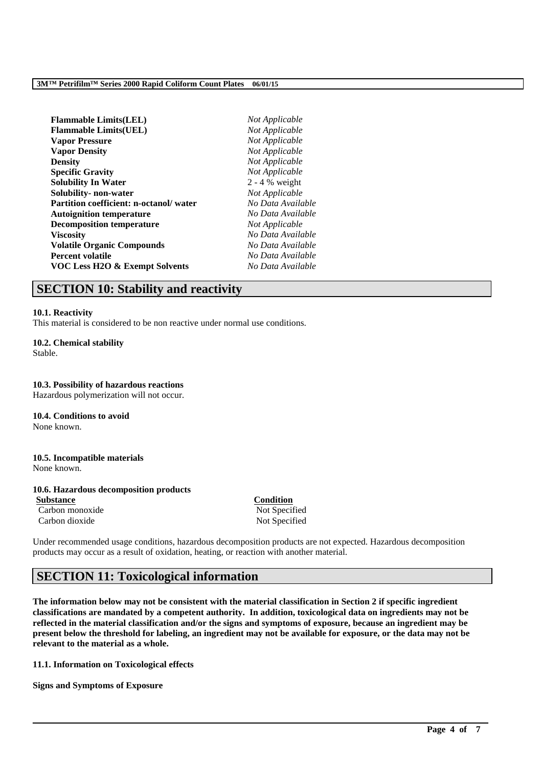### **3M™ Petrifilm™ Series 2000 Rapid Coliform Count Plates 06/01/15**

| Not Applicable   |
|------------------|
| Not Applicable   |
| Not Applicable   |
| Not Applicable   |
| Not Applicable   |
| Not Applicable   |
| $2 - 4$ % weight |
| Not Applicable   |
| No Data Availe   |
| No Data Availe   |
| Not Applicable   |
| No Data Availe   |
| No Data Availe   |
| No Data Availe   |
| No Data Availe   |
|                  |

**Flammable Limits(LEL)** *Not Applicable* **Flammable Limits(UEL)** *Not Applicable* **Solubility- non-water** *Not Applicable* **Partition coefficient: n-octanol/ water** *No Data Available* **Autoignition temperature** *No Data Available* **Viscosity** *No Data Available* **Volatile Organic Compounds** *No Data Available* **Percent volatile** *No Data Available* **VOC Less H2O & Exempt Solvents** *No Data Available*

### **SECTION 10: Stability and reactivity**

### **10.1. Reactivity**

This material is considered to be non reactive under normal use conditions.

**10.2. Chemical stability** Stable.

**10.3. Possibility of hazardous reactions** Hazardous polymerization will not occur.

**10.4. Conditions to avoid** None known.

**10.5. Incompatible materials** None known.

### **10.6. Hazardous decomposition products**

**Substance Condition** Carbon monoxide Not Specified Carbon dioxide Not Specified

Under recommended usage conditions, hazardous decomposition products are not expected. Hazardous decomposition products may occur as a result of oxidation, heating, or reaction with another material.

# **SECTION 11: Toxicological information**

**The information below may not be consistent with the material classification in Section 2 if specific ingredient classifications are mandated by a competent authority. In addition, toxicological data on ingredients may not be reflected in the material classification and/or the signs and symptoms of exposure, because an ingredient may be present below the threshold for labeling, an ingredient may not be available for exposure, or the data may not be relevant to the material as a whole.**

\_\_\_\_\_\_\_\_\_\_\_\_\_\_\_\_\_\_\_\_\_\_\_\_\_\_\_\_\_\_\_\_\_\_\_\_\_\_\_\_\_\_\_\_\_\_\_\_\_\_\_\_\_\_\_\_\_\_\_\_\_\_\_\_\_\_\_\_\_\_\_\_\_\_\_\_\_\_\_\_\_\_\_\_\_\_\_\_\_\_

**11.1. Information on Toxicological effects**

**Signs and Symptoms of Exposure**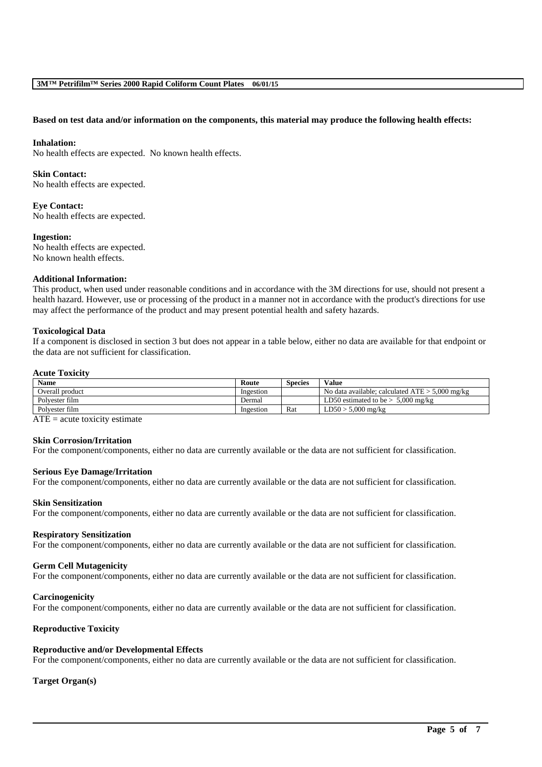### **Based on test data and/or information on the components, this material may produce the following health effects:**

#### **Inhalation:**

No health effects are expected. No known health effects.

#### **Skin Contact:**

No health effects are expected.

**Eye Contact:** No health effects are expected.

#### **Ingestion:**

No health effects are expected. No known health effects.

#### **Additional Information:**

This product, when used under reasonable conditions and in accordance with the 3M directions for use, should not present a health hazard. However, use or processing of the product in a manner not in accordance with the product's directions for use may affect the performance of the product and may present potential health and safety hazards.

#### **Toxicological Data**

If a component is disclosed in section 3 but does not appear in a table below, either no data are available for that endpoint or the data are not sufficient for classification.

#### **Acute Toxicity**

| Name            | Route     | Species | <b>Value</b>                                      |
|-----------------|-----------|---------|---------------------------------------------------|
| Overall product | Ingestion |         | No data available; calculated $ATE > 5,000$ mg/kg |
| Polvester film  | Dermal    |         | $5,000$ mg/kg<br>LD50 estimated to be $>$         |
| Polvester film  | Ingestion | Rat     | $LD50 > 5,000$ mg/kg                              |
| $ -$<br>. .     |           |         |                                                   |

 $ATE = acute$  toxicity estimate

### **Skin Corrosion/Irritation**

For the component/components, either no data are currently available or the data are not sufficient for classification.

#### **Serious Eye Damage/Irritation**

For the component/components, either no data are currently available or the data are not sufficient for classification.

#### **Skin Sensitization**

For the component/components, either no data are currently available or the data are not sufficient for classification.

#### **Respiratory Sensitization**

For the component/components, either no data are currently available or the data are not sufficient for classification.

#### **Germ Cell Mutagenicity**

For the component/components, either no data are currently available or the data are not sufficient for classification.

#### **Carcinogenicity**

For the component/components, either no data are currently available or the data are not sufficient for classification.

### **Reproductive Toxicity**

### **Reproductive and/or Developmental Effects**

For the component/components, either no data are currently available or the data are not sufficient for classification.

\_\_\_\_\_\_\_\_\_\_\_\_\_\_\_\_\_\_\_\_\_\_\_\_\_\_\_\_\_\_\_\_\_\_\_\_\_\_\_\_\_\_\_\_\_\_\_\_\_\_\_\_\_\_\_\_\_\_\_\_\_\_\_\_\_\_\_\_\_\_\_\_\_\_\_\_\_\_\_\_\_\_\_\_\_\_\_\_\_\_

### **Target Organ(s)**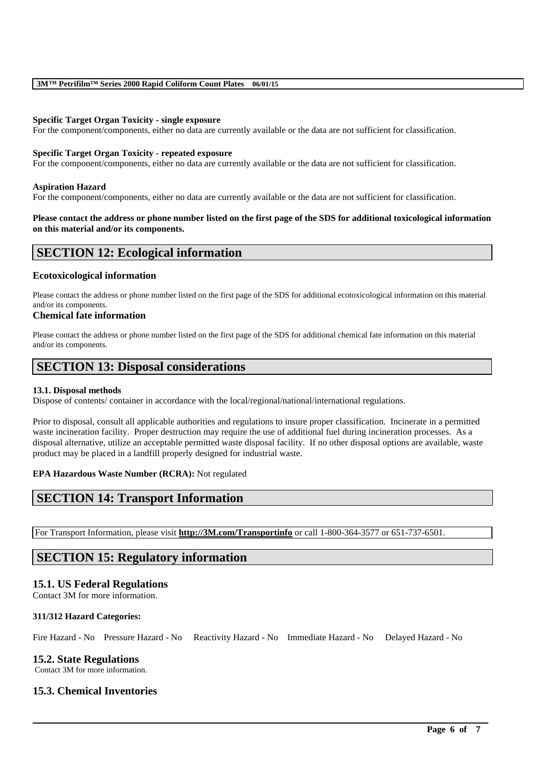### **3M™ Petrifilm™ Series 2000 Rapid Coliform Count Plates 06/01/15**

### **Specific Target Organ Toxicity - single exposure**

For the component/components, either no data are currently available or the data are not sufficient for classification.

### **Specific Target Organ Toxicity - repeated exposure**

For the component/components, either no data are currently available or the data are not sufficient for classification.

### **Aspiration Hazard**

For the component/components, either no data are currently available or the data are not sufficient for classification.

### **Please contact the address or phone number listed on the first page of the SDS for additional toxicological information on this material and/or its components.**

### **SECTION 12: Ecological information**

### **Ecotoxicological information**

Please contact the address or phone number listed on the first page of the SDS for additional ecotoxicological information on this material and/or its components.

### **Chemical fate information**

Please contact the address or phone number listed on the first page of the SDS for additional chemical fate information on this material and/or its components.

### **SECTION 13: Disposal considerations**

### **13.1. Disposal methods**

Dispose of contents/ container in accordance with the local/regional/national/international regulations.

Prior to disposal, consult all applicable authorities and regulations to insure proper classification. Incinerate in a permitted waste incineration facility. Proper destruction may require the use of additional fuel during incineration processes. As a disposal alternative, utilize an acceptable permitted waste disposal facility. If no other disposal options are available, waste product may be placed in a landfill properly designed for industrial waste.

### **EPA Hazardous Waste Number (RCRA):** Not regulated

### **SECTION 14: Transport Information**

For Transport Information, please visit **http://3M.com/Transportinfo** or call 1-800-364-3577 or 651-737-6501.

### **SECTION 15: Regulatory information**

### **15.1. US Federal Regulations**

Contact 3M for more information.

### **311/312 Hazard Categories:**

Fire Hazard - No Pressure Hazard - No Reactivity Hazard - No Immediate Hazard - No Delayed Hazard - No

\_\_\_\_\_\_\_\_\_\_\_\_\_\_\_\_\_\_\_\_\_\_\_\_\_\_\_\_\_\_\_\_\_\_\_\_\_\_\_\_\_\_\_\_\_\_\_\_\_\_\_\_\_\_\_\_\_\_\_\_\_\_\_\_\_\_\_\_\_\_\_\_\_\_\_\_\_\_\_\_\_\_\_\_\_\_\_\_\_\_

### **15.2. State Regulations**

Contact 3M for more information.

### **15.3. Chemical Inventories**